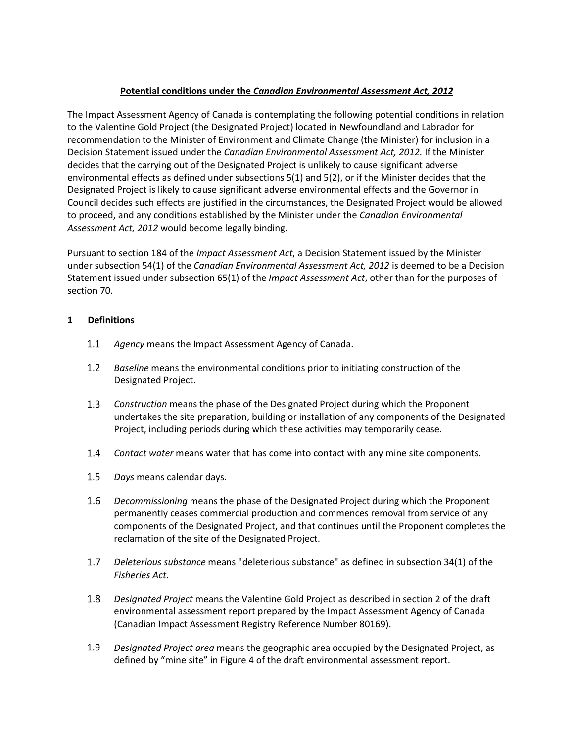## **Potential conditions under the** *Canadian Environmental Assessment Act, 2012*

The Impact Assessment Agency of Canada is contemplating the following potential conditions in relation to the Valentine Gold Project (the Designated Project) located in Newfoundland and Labrador for recommendation to the Minister of Environment and Climate Change (the Minister) for inclusion in a Decision Statement issued under the *Canadian Environmental Assessment Act, 2012.* If the Minister decides that the carrying out of the Designated Project is unlikely to cause significant adverse environmental effects as defined under subsections 5(1) and 5(2), or if the Minister decides that the Designated Project is likely to cause significant adverse environmental effects and the Governor in Council decides such effects are justified in the circumstances, the Designated Project would be allowed to proceed, and any conditions established by the Minister under the *Canadian Environmental Assessment Act, 2012* would become legally binding.

Pursuant to section 184 of the *Impact Assessment Act*, a Decision Statement issued by the Minister under subsection 54(1) of the *Canadian Environmental Assessment Act, 2012* is deemed to be a Decision Statement issued under subsection 65(1) of the *Impact Assessment Act*, other than for the purposes of section 70.

### **1 Definitions**

- *Agency* means the Impact Assessment Agency of Canada.  $1.1$
- $1.2$ *Baseline* means the environmental conditions prior to initiating construction of the Designated Project.
- $1.3$ *Construction* means the phase of the Designated Project during which the Proponent undertakes the site preparation, building or installation of any components of the Designated Project, including periods during which these activities may temporarily cease.
- $1.4$ *Contact water* means water that has come into contact with any mine site components.
- $1.5$ *Days* means calendar days.
- $1.6$ *Decommissioning* means the phase of the Designated Project during which the Proponent permanently ceases commercial production and commences removal from service of any components of the Designated Project, and that continues until the Proponent completes the reclamation of the site of the Designated Project.
- $1.7$ *Deleterious substance* means "deleterious substance" as defined in subsection 34(1) of the *Fisheries Act*.
- *Designated Project* means the Valentine Gold Project as described in section 2 of the draft 1.8 environmental assessment report prepared by the Impact Assessment Agency of Canada (Canadian Impact Assessment Registry Reference Number 80169).
- $1.9$ *Designated Project area* means the geographic area occupied by the Designated Project, as defined by "mine site" in Figure 4 of the draft environmental assessment report.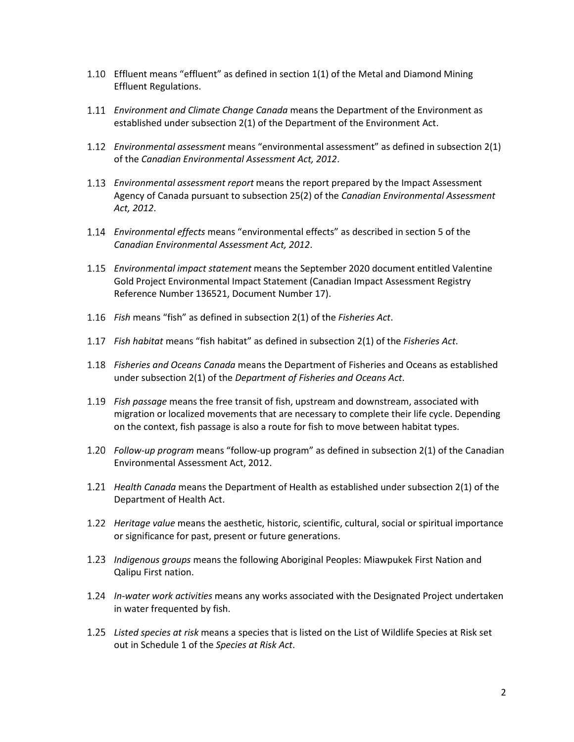- Effluent means "effluent" as defined in section 1(1) of the Metal and Diamond Mining Effluent Regulations.
- *Environment and Climate Change Canada* means the Department of the Environment as established under subsection 2(1) of the Department of the Environment Act.
- *Environmental assessment* means "environmental assessment" as defined in subsection 2(1) of the *Canadian Environmental Assessment Act, 2012*.
- *Environmental assessment report* means the report prepared by the Impact Assessment Agency of Canada pursuant to subsection 25(2) of the *Canadian Environmental Assessment Act, 2012*.
- *Environmental effects* means "environmental effects" as described in section 5 of the *Canadian Environmental Assessment Act, 2012*.
- *Environmental impact statement* means the September 2020 document entitled Valentine Gold Project Environmental Impact Statement (Canadian Impact Assessment Registry Reference Number 136521, Document Number 17).
- *Fish* means "fish" as defined in subsection 2(1) of the *Fisheries Act*.
- *Fish habitat* means "fish habitat" as defined in subsection 2(1) of the *Fisheries Act*.
- *Fisheries and Oceans Canada* means the Department of Fisheries and Oceans as established under subsection 2(1) of the *Department of Fisheries and Oceans Act*.
- *Fish passage* means the free transit of fish, upstream and downstream, associated with migration or localized movements that are necessary to complete their life cycle. Depending on the context, fish passage is also a route for fish to move between habitat types.
- *Follow-up program* means "follow-up program" as defined in subsection 2(1) of the Canadian Environmental Assessment Act, 2012.
- *Health Canada* means the Department of Health as established under subsection 2(1) of the Department of Health Act.
- *Heritage value* means the aesthetic, historic, scientific, cultural, social or spiritual importance or significance for past, present or future generations.
- *Indigenous groups* means the following Aboriginal Peoples: Miawpukek First Nation and Qalipu First nation.
- *In-water work activities* means any works associated with the Designated Project undertaken in water frequented by fish.
- *Listed species at risk* means a species that is listed on the List of Wildlife Species at Risk set out in Schedule 1 of the *Species at Risk Act*.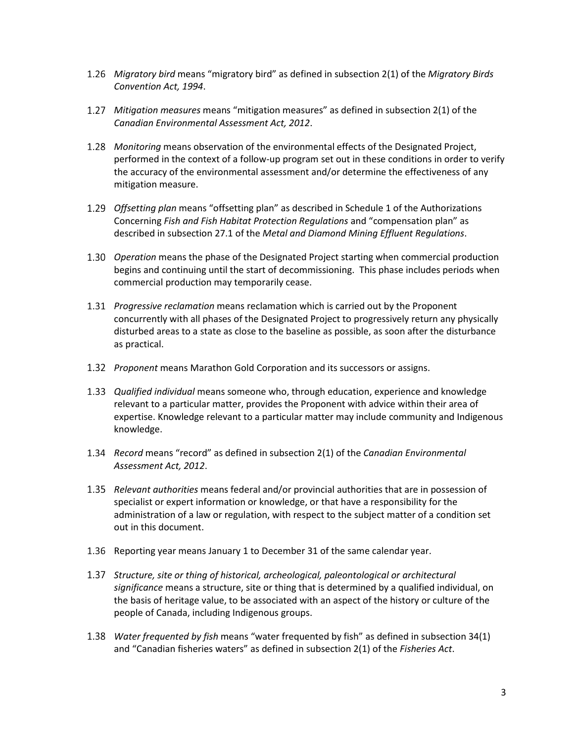- *Migratory bird* means "migratory bird" as defined in subsection 2(1) of the *Migratory Birds Convention Act, 1994*.
- *Mitigation measures* means "mitigation measures" as defined in subsection 2(1) of the *Canadian Environmental Assessment Act, 2012*.
- *Monitoring* means observation of the environmental effects of the Designated Project, performed in the context of a follow-up program set out in these conditions in order to verify the accuracy of the environmental assessment and/or determine the effectiveness of any mitigation measure.
- *Offsetting plan* means "offsetting plan" as described in Schedule 1 of the Authorizations Concerning *Fish and Fish Habitat Protection Regulations* and "compensation plan" as described in subsection 27.1 of the *Metal and Diamond Mining Effluent Regulations*.
- *Operation* means the phase of the Designated Project starting when commercial production begins and continuing until the start of decommissioning. This phase includes periods when commercial production may temporarily cease.
- *Progressive reclamation* means reclamation which is carried out by the Proponent concurrently with all phases of the Designated Project to progressively return any physically disturbed areas to a state as close to the baseline as possible, as soon after the disturbance as practical.
- *Proponent* means Marathon Gold Corporation and its successors or assigns.
- *Qualified individual* means someone who, through education, experience and knowledge relevant to a particular matter, provides the Proponent with advice within their area of expertise. Knowledge relevant to a particular matter may include community and Indigenous knowledge.
- *Record* means "record" as defined in subsection 2(1) of the *Canadian Environmental Assessment Act, 2012*.
- *Relevant authorities* means federal and/or provincial authorities that are in possession of specialist or expert information or knowledge, or that have a responsibility for the administration of a law or regulation, with respect to the subject matter of a condition set out in this document.
- 1.36 Reporting year means January 1 to December 31 of the same calendar year.
- *Structure, site or thing of historical, archeological, paleontological or architectural significance* means a structure, site or thing that is determined by a qualified individual, on the basis of heritage value, to be associated with an aspect of the history or culture of the people of Canada, including Indigenous groups.
- *Water frequented by fish* means "water frequented by fish" as defined in subsection 34(1) and "Canadian fisheries waters" as defined in subsection 2(1) of the *Fisheries Act*.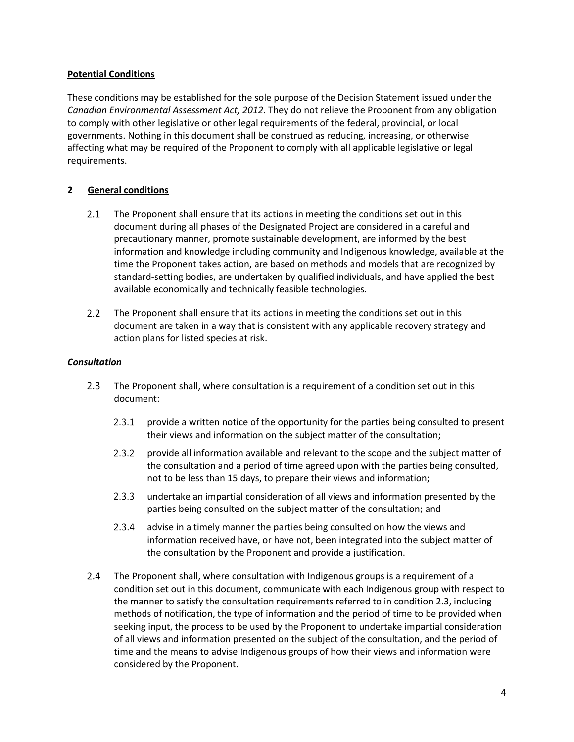### **Potential Conditions**

These conditions may be established for the sole purpose of the Decision Statement issued under the *Canadian Environmental Assessment Act, 2012*. They do not relieve the Proponent from any obligation to comply with other legislative or other legal requirements of the federal, provincial, or local governments. Nothing in this document shall be construed as reducing, increasing, or otherwise affecting what may be required of the Proponent to comply with all applicable legislative or legal requirements.

### **2 General conditions**

- $2.1$ The Proponent shall ensure that its actions in meeting the conditions set out in this document during all phases of the Designated Project are considered in a careful and precautionary manner, promote sustainable development, are informed by the best information and knowledge including community and Indigenous knowledge, available at the time the Proponent takes action, are based on methods and models that are recognized by standard-setting bodies, are undertaken by qualified individuals, and have applied the best available economically and technically feasible technologies.
- $2.2$ The Proponent shall ensure that its actions in meeting the conditions set out in this document are taken in a way that is consistent with any applicable recovery strategy and action plans for listed species at risk.

#### *Consultation*

- $2.3$ The Proponent shall, where consultation is a requirement of a condition set out in this document:
	- $2.3.1$ provide a written notice of the opportunity for the parties being consulted to present their views and information on the subject matter of the consultation;
	- $2.3.2$ provide all information available and relevant to the scope and the subject matter of the consultation and a period of time agreed upon with the parties being consulted, not to be less than 15 days, to prepare their views and information;
	- $2.3.3$ undertake an impartial consideration of all views and information presented by the parties being consulted on the subject matter of the consultation; and
	- $2.3.4$ advise in a timely manner the parties being consulted on how the views and information received have, or have not, been integrated into the subject matter of the consultation by the Proponent and provide a justification.
- 2.4 The Proponent shall, where consultation with Indigenous groups is a requirement of a condition set out in this document, communicate with each Indigenous group with respect to the manner to satisfy the consultation requirements referred to in condition 2.3, including methods of notification, the type of information and the period of time to be provided when seeking input, the process to be used by the Proponent to undertake impartial consideration of all views and information presented on the subject of the consultation, and the period of time and the means to advise Indigenous groups of how their views and information were considered by the Proponent.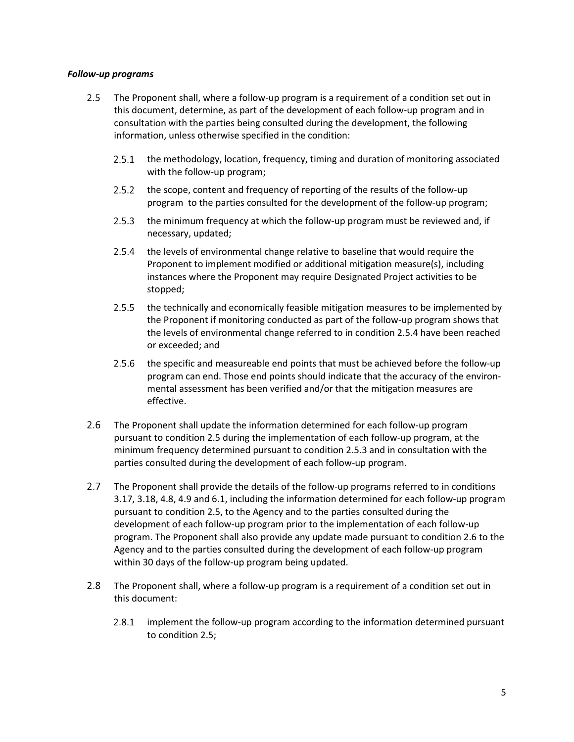#### *Follow-up programs*

- $2.5$ The Proponent shall, where a follow-up program is a requirement of a condition set out in this document, determine, as part of the development of each follow-up program and in consultation with the parties being consulted during the development, the following information, unless otherwise specified in the condition:
	- $2.5.1$ the methodology, location, frequency, timing and duration of monitoring associated with the follow-up program;
	- $2.5.2$ the scope, content and frequency of reporting of the results of the follow-up program to the parties consulted for the development of the follow-up program;
	- 2.5.3 the minimum frequency at which the follow-up program must be reviewed and, if necessary, updated;
	- $2.5.4$ the levels of environmental change relative to baseline that would require the Proponent to implement modified or additional mitigation measure(s), including instances where the Proponent may require Designated Project activities to be stopped;
	- $2.5.5$ the technically and economically feasible mitigation measures to be implemented by the Proponent if monitoring conducted as part of the follow-up program shows that the levels of environmental change referred to in condition 2.5.4 have been reached or exceeded; and
	- 2.5.6 the specific and measureable end points that must be achieved before the follow-up program can end. Those end points should indicate that the accuracy of the environmental assessment has been verified and/or that the mitigation measures are effective.
- $2.6$ The Proponent shall update the information determined for each follow-up program pursuant to condition 2.5 during the implementation of each follow-up program, at the minimum frequency determined pursuant to condition 2.5.3 and in consultation with the parties consulted during the development of each follow-up program.
- The Proponent shall provide the details of the follow-up programs referred to in conditions  $2.7$ 3.17, 3.18, 4.8, 4.9 and 6.1, including the information determined for each follow-up program pursuant to condition 2.5, to the Agency and to the parties consulted during the development of each follow-up program prior to the implementation of each follow-up program. The Proponent shall also provide any update made pursuant to condition 2.6 to the Agency and to the parties consulted during the development of each follow-up program within 30 days of the follow-up program being updated.
- $2.8$ The Proponent shall, where a follow-up program is a requirement of a condition set out in this document:
	- $2.8.1$ implement the follow-up program according to the information determined pursuant to condition 2.5;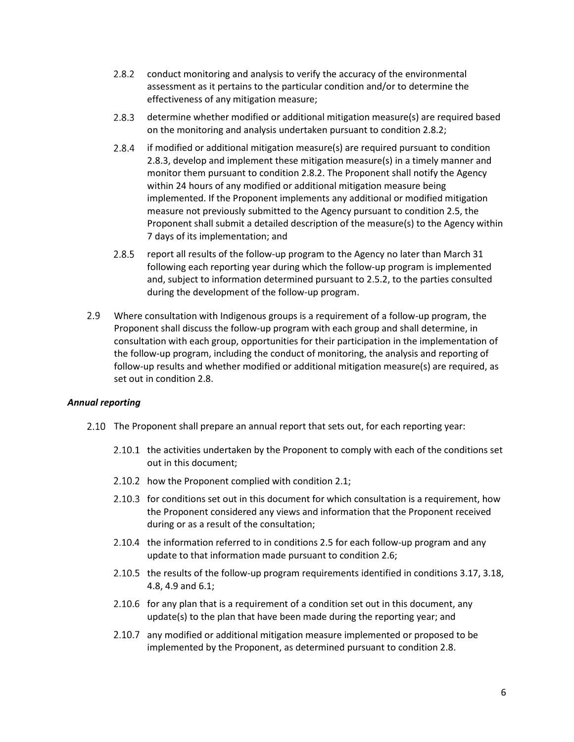- $2.8.2$ conduct monitoring and analysis to verify the accuracy of the environmental assessment as it pertains to the particular condition and/or to determine the effectiveness of any mitigation measure;
- $2.8.3$ determine whether modified or additional mitigation measure(s) are required based on the monitoring and analysis undertaken pursuant to condition 2.8.2;
- $2.8.4$ if modified or additional mitigation measure(s) are required pursuant to condition 2.8.3, develop and implement these mitigation measure(s) in a timely manner and monitor them pursuant to condition 2.8.2. The Proponent shall notify the Agency within 24 hours of any modified or additional mitigation measure being implemented. If the Proponent implements any additional or modified mitigation measure not previously submitted to the Agency pursuant to condition 2.5, the Proponent shall submit a detailed description of the measure(s) to the Agency within 7 days of its implementation; and
- $2.8.5$ report all results of the follow-up program to the Agency no later than March 31 following each reporting year during which the follow-up program is implemented and, subject to information determined pursuant to 2.5.2, to the parties consulted during the development of the follow-up program.
- $2.9$ Where consultation with Indigenous groups is a requirement of a follow-up program, the Proponent shall discuss the follow-up program with each group and shall determine, in consultation with each group, opportunities for their participation in the implementation of the follow-up program, including the conduct of monitoring, the analysis and reporting of follow-up results and whether modified or additional mitigation measure(s) are required, as set out in condition 2.8.

#### *Annual reporting*

- 2.10 The Proponent shall prepare an annual report that sets out, for each reporting year:
	- 2.10.1 the activities undertaken by the Proponent to comply with each of the conditions set out in this document;
	- 2.10.2 how the Proponent complied with condition 2.1;
	- 2.10.3 for conditions set out in this document for which consultation is a requirement, how the Proponent considered any views and information that the Proponent received during or as a result of the consultation;
	- 2.10.4 the information referred to in conditions 2.5 for each follow-up program and any update to that information made pursuant to condition 2.6;
	- 2.10.5 the results of the follow-up program requirements identified in conditions 3.17, 3.18, 4.8, 4.9 and 6.1;
	- 2.10.6 for any plan that is a requirement of a condition set out in this document, any update(s) to the plan that have been made during the reporting year; and
	- 2.10.7 any modified or additional mitigation measure implemented or proposed to be implemented by the Proponent, as determined pursuant to condition 2.8.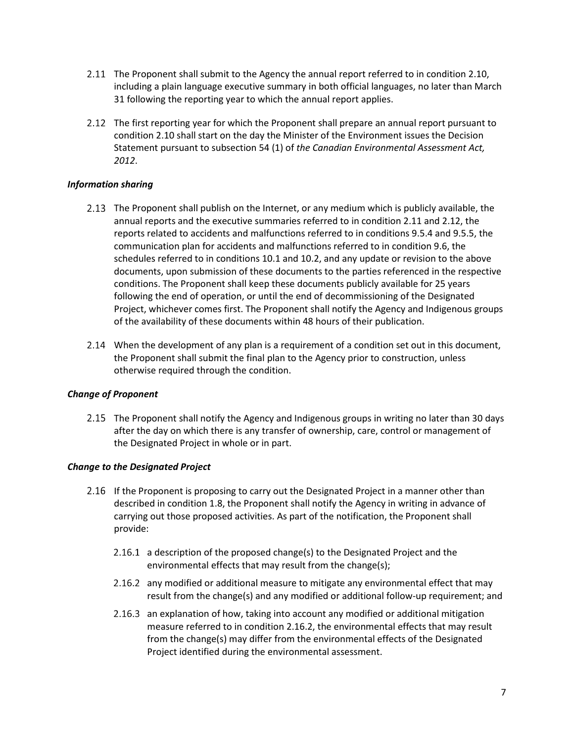- The Proponent shall submit to the Agency the annual report referred to in condition 2.10, including a plain language executive summary in both official languages, no later than March 31 following the reporting year to which the annual report applies.
- 2.12 The first reporting year for which the Proponent shall prepare an annual report pursuant to condition 2.10 shall start on the day the Minister of the Environment issues the Decision Statement pursuant to subsection 54 (1) of *the Canadian Environmental Assessment Act, 2012*.

### *Information sharing*

- 2.13 The Proponent shall publish on the Internet, or any medium which is publicly available, the annual reports and the executive summaries referred to in condition 2.11 and 2.12, the reports related to accidents and malfunctions referred to in conditions 9.5.4 and 9.5.5, the communication plan for accidents and malfunctions referred to in condition 9.6, the schedules referred to in conditions 10.1 and 10.2, and any update or revision to the above documents, upon submission of these documents to the parties referenced in the respective conditions. The Proponent shall keep these documents publicly available for 25 years following the end of operation, or until the end of decommissioning of the Designated Project, whichever comes first. The Proponent shall notify the Agency and Indigenous groups of the availability of these documents within 48 hours of their publication.
- 2.14 When the development of any plan is a requirement of a condition set out in this document, the Proponent shall submit the final plan to the Agency prior to construction, unless otherwise required through the condition.

## *Change of Proponent*

The Proponent shall notify the Agency and Indigenous groups in writing no later than 30 days after the day on which there is any transfer of ownership, care, control or management of the Designated Project in whole or in part.

## *Change to the Designated Project*

- 2.16 If the Proponent is proposing to carry out the Designated Project in a manner other than described in condition 1.8, the Proponent shall notify the Agency in writing in advance of carrying out those proposed activities. As part of the notification, the Proponent shall provide:
	- 2.16.1 a description of the proposed change(s) to the Designated Project and the environmental effects that may result from the change(s);
	- 2.16.2 any modified or additional measure to mitigate any environmental effect that may result from the change(s) and any modified or additional follow-up requirement; and
	- 2.16.3 an explanation of how, taking into account any modified or additional mitigation measure referred to in condition 2.16.2, the environmental effects that may result from the change(s) may differ from the environmental effects of the Designated Project identified during the environmental assessment.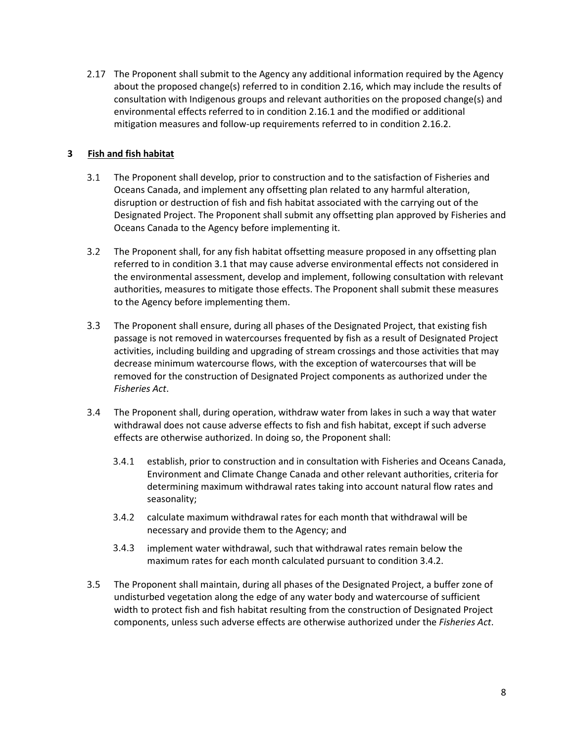2.17 The Proponent shall submit to the Agency any additional information required by the Agency about the proposed change(s) referred to in condition 2.16, which may include the results of consultation with Indigenous groups and relevant authorities on the proposed change(s) and environmental effects referred to in condition 2.16.1 and the modified or additional mitigation measures and follow-up requirements referred to in condition 2.16.2.

## **3 Fish and fish habitat**

- $3.1$ The Proponent shall develop, prior to construction and to the satisfaction of Fisheries and Oceans Canada, and implement any offsetting plan related to any harmful alteration, disruption or destruction of fish and fish habitat associated with the carrying out of the Designated Project. The Proponent shall submit any offsetting plan approved by Fisheries and Oceans Canada to the Agency before implementing it.
- $3.2$ The Proponent shall, for any fish habitat offsetting measure proposed in any offsetting plan referred to in condition 3.1 that may cause adverse environmental effects not considered in the environmental assessment, develop and implement, following consultation with relevant authorities, measures to mitigate those effects. The Proponent shall submit these measures to the Agency before implementing them.
- $3.3$ The Proponent shall ensure, during all phases of the Designated Project, that existing fish passage is not removed in watercourses frequented by fish as a result of Designated Project activities, including building and upgrading of stream crossings and those activities that may decrease minimum watercourse flows, with the exception of watercourses that will be removed for the construction of Designated Project components as authorized under the *Fisheries Act*.
- $3.4$ The Proponent shall, during operation, withdraw water from lakes in such a way that water withdrawal does not cause adverse effects to fish and fish habitat, except if such adverse effects are otherwise authorized. In doing so, the Proponent shall:
	- $3.4.1$ establish, prior to construction and in consultation with Fisheries and Oceans Canada, Environment and Climate Change Canada and other relevant authorities, criteria for determining maximum withdrawal rates taking into account natural flow rates and seasonality;
	- calculate maximum withdrawal rates for each month that withdrawal will be necessary and provide them to the Agency; and
	- $3.4.3$ implement water withdrawal, such that withdrawal rates remain below the maximum rates for each month calculated pursuant to condition 3.4.2.
- $3.5$ The Proponent shall maintain, during all phases of the Designated Project, a buffer zone of undisturbed vegetation along the edge of any water body and watercourse of sufficient width to protect fish and fish habitat resulting from the construction of Designated Project components, unless such adverse effects are otherwise authorized under the *Fisheries Act*.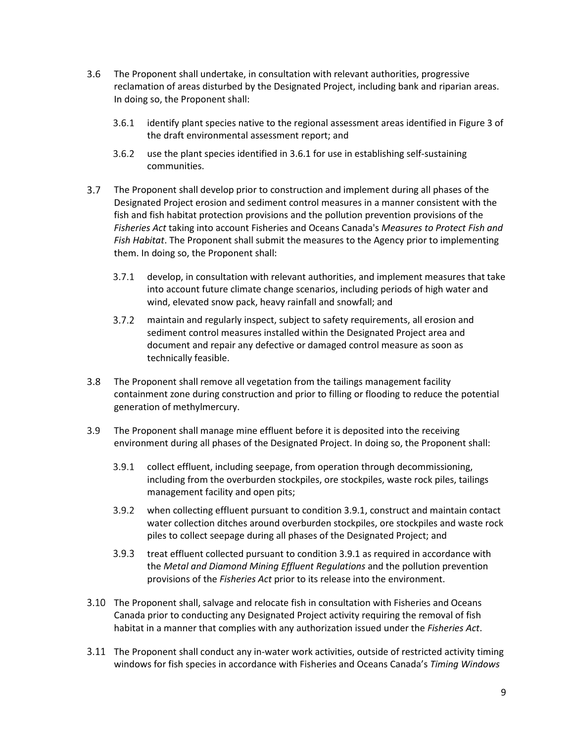- $3.6$ The Proponent shall undertake, in consultation with relevant authorities, progressive reclamation of areas disturbed by the Designated Project, including bank and riparian areas. In doing so, the Proponent shall:
	- $3.6.1$ identify plant species native to the regional assessment areas identified in Figure 3 of the draft environmental assessment report; and
	- $3.6.2$ use the plant species identified in 3.6.1 for use in establishing self-sustaining communities.
- $3.7$ The Proponent shall develop prior to construction and implement during all phases of the Designated Project erosion and sediment control measures in a manner consistent with the fish and fish habitat protection provisions and the pollution prevention provisions of the *Fisheries Act* taking into account Fisheries and Oceans Canada's *Measures to Protect Fish and Fish Habitat*. The Proponent shall submit the measures to the Agency prior to implementing them. In doing so, the Proponent shall:
	- $3.7.1$ develop, in consultation with relevant authorities, and implement measures that take into account future climate change scenarios, including periods of high water and wind, elevated snow pack, heavy rainfall and snowfall; and
	- maintain and regularly inspect, subject to safety requirements, all erosion and sediment control measures installed within the Designated Project area and document and repair any defective or damaged control measure as soon as technically feasible.
- $3.8$ The Proponent shall remove all vegetation from the tailings management facility containment zone during construction and prior to filling or flooding to reduce the potential generation of methylmercury.
- $3.9$ The Proponent shall manage mine effluent before it is deposited into the receiving environment during all phases of the Designated Project. In doing so, the Proponent shall:
	- $3.9.1$ collect effluent, including seepage, from operation through decommissioning, including from the overburden stockpiles, ore stockpiles, waste rock piles, tailings management facility and open pits;
	- $3.9.2$ when collecting effluent pursuant to condition 3.9.1, construct and maintain contact water collection ditches around overburden stockpiles, ore stockpiles and waste rock piles to collect seepage during all phases of the Designated Project; and
	- $3.9.3$ treat effluent collected pursuant to condition 3.9.1 as required in accordance with the *Metal and Diamond Mining Effluent Regulations* and the pollution prevention provisions of the *Fisheries Act* prior to its release into the environment.
- The Proponent shall, salvage and relocate fish in consultation with Fisheries and Oceans Canada prior to conducting any Designated Project activity requiring the removal of fish habitat in a manner that complies with any authorization issued under the *Fisheries Act*.
- The Proponent shall conduct any in-water work activities, outside of restricted activity timing windows for fish species in accordance with Fisheries and Oceans Canada's *Timing Windows*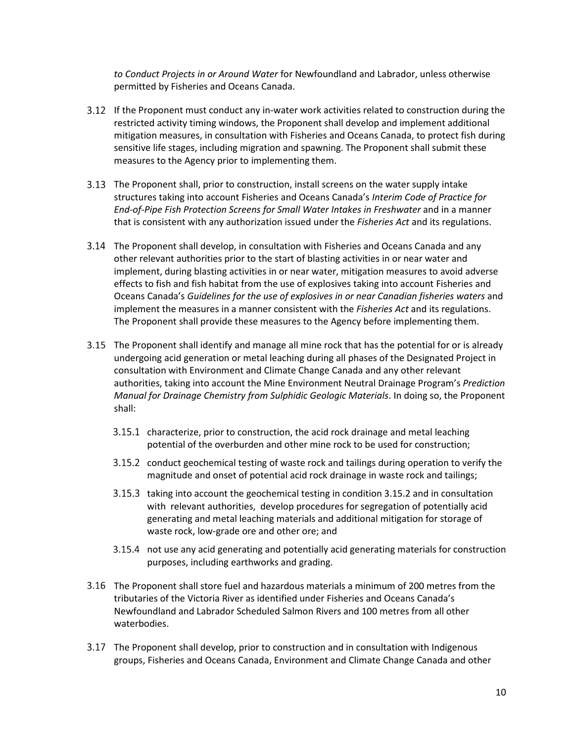*to Conduct Projects in or Around Water* for Newfoundland and Labrador, unless otherwise permitted by Fisheries and Oceans Canada.

- If the Proponent must conduct any in-water work activities related to construction during the restricted activity timing windows, the Proponent shall develop and implement additional mitigation measures, in consultation with Fisheries and Oceans Canada, to protect fish during sensitive life stages, including migration and spawning. The Proponent shall submit these measures to the Agency prior to implementing them.
- The Proponent shall, prior to construction, install screens on the water supply intake structures taking into account Fisheries and Oceans Canada's *Interim Code of Practice for End-of-Pipe Fish Protection Screens for Small Water Intakes in Freshwater* and in a manner that is consistent with any authorization issued under the *Fisheries Act* and its regulations.
- The Proponent shall develop, in consultation with Fisheries and Oceans Canada and any other relevant authorities prior to the start of blasting activities in or near water and implement, during blasting activities in or near water, mitigation measures to avoid adverse effects to fish and fish habitat from the use of explosives taking into account Fisheries and Oceans Canada's *Guidelines for the use of explosives in or near Canadian fisheries waters* and implement the measures in a manner consistent with the *Fisheries Act* and its regulations. The Proponent shall provide these measures to the Agency before implementing them.
- The Proponent shall identify and manage all mine rock that has the potential for or is already undergoing acid generation or metal leaching during all phases of the Designated Project in consultation with Environment and Climate Change Canada and any other relevant authorities, taking into account the Mine Environment Neutral Drainage Program's *Prediction Manual for Drainage Chemistry from Sulphidic Geologic Materials*. In doing so, the Proponent shall:
	- 3.15.1 characterize, prior to construction, the acid rock drainage and metal leaching potential of the overburden and other mine rock to be used for construction;
	- 3.15.2 conduct geochemical testing of waste rock and tailings during operation to verify the magnitude and onset of potential acid rock drainage in waste rock and tailings;
	- 3.15.3 taking into account the geochemical testing in condition 3.15.2 and in consultation with relevant authorities, develop procedures for segregation of potentially acid generating and metal leaching materials and additional mitigation for storage of waste rock, low-grade ore and other ore; and
	- 3.15.4 not use any acid generating and potentially acid generating materials for construction purposes, including earthworks and grading.
- The Proponent shall store fuel and hazardous materials a minimum of 200 metres from the tributaries of the Victoria River as identified under Fisheries and Oceans Canada's Newfoundland and Labrador Scheduled Salmon Rivers and 100 metres from all other waterbodies.
- The Proponent shall develop, prior to construction and in consultation with Indigenous groups, Fisheries and Oceans Canada, Environment and Climate Change Canada and other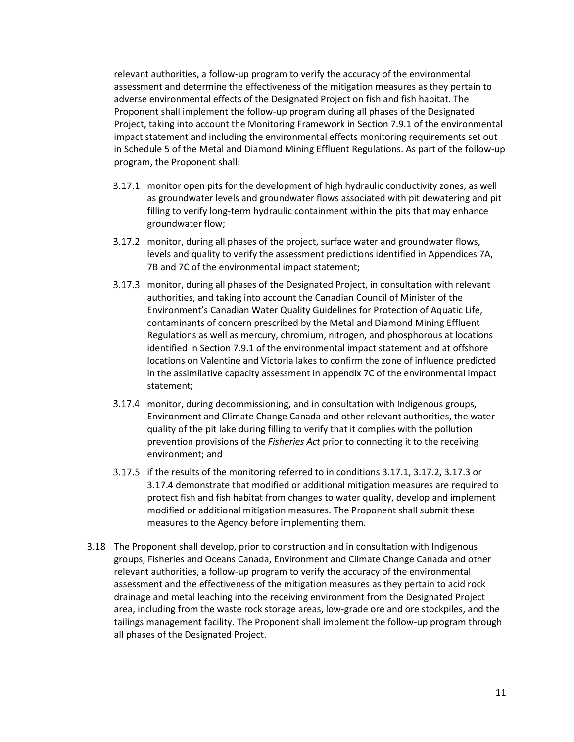relevant authorities, a follow-up program to verify the accuracy of the environmental assessment and determine the effectiveness of the mitigation measures as they pertain to adverse environmental effects of the Designated Project on fish and fish habitat. The Proponent shall implement the follow-up program during all phases of the Designated Project, taking into account the Monitoring Framework in Section 7.9.1 of the environmental impact statement and including the environmental effects monitoring requirements set out in Schedule 5 of the Metal and Diamond Mining Effluent Regulations. As part of the follow-up program, the Proponent shall:

- 3.17.1 monitor open pits for the development of high hydraulic conductivity zones, as well as groundwater levels and groundwater flows associated with pit dewatering and pit filling to verify long-term hydraulic containment within the pits that may enhance groundwater flow;
- 3.17.2 monitor, during all phases of the project, surface water and groundwater flows, levels and quality to verify the assessment predictions identified in Appendices 7A, 7B and 7C of the environmental impact statement;
- 3.17.3 monitor, during all phases of the Designated Project, in consultation with relevant authorities, and taking into account the Canadian Council of Minister of the Environment's Canadian Water Quality Guidelines for Protection of Aquatic Life, contaminants of concern prescribed by the Metal and Diamond Mining Effluent Regulations as well as mercury, chromium, nitrogen, and phosphorous at locations identified in Section 7.9.1 of the environmental impact statement and at offshore locations on Valentine and Victoria lakes to confirm the zone of influence predicted in the assimilative capacity assessment in appendix 7C of the environmental impact statement;
- 3.17.4 monitor, during decommissioning, and in consultation with Indigenous groups, Environment and Climate Change Canada and other relevant authorities, the water quality of the pit lake during filling to verify that it complies with the pollution prevention provisions of the *Fisheries Act* prior to connecting it to the receiving environment; and
- 3.17.5 if the results of the monitoring referred to in conditions 3.17.1, 3.17.2, 3.17.3 or 3.17.4 demonstrate that modified or additional mitigation measures are required to protect fish and fish habitat from changes to water quality, develop and implement modified or additional mitigation measures. The Proponent shall submit these measures to the Agency before implementing them.
- The Proponent shall develop, prior to construction and in consultation with Indigenous groups, Fisheries and Oceans Canada, Environment and Climate Change Canada and other relevant authorities, a follow-up program to verify the accuracy of the environmental assessment and the effectiveness of the mitigation measures as they pertain to acid rock drainage and metal leaching into the receiving environment from the Designated Project area, including from the waste rock storage areas, low-grade ore and ore stockpiles, and the tailings management facility. The Proponent shall implement the follow-up program through all phases of the Designated Project.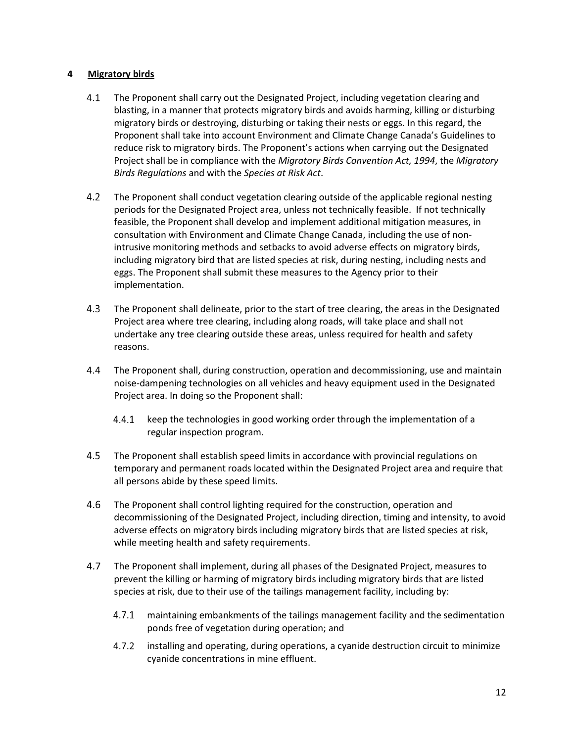### **4 Migratory birds**

- $4.1$ The Proponent shall carry out the Designated Project, including vegetation clearing and blasting, in a manner that protects migratory birds and avoids harming, killing or disturbing migratory birds or destroying, disturbing or taking their nests or eggs. In this regard, the Proponent shall take into account Environment and Climate Change Canada's Guidelines to reduce risk to migratory birds. The Proponent's actions when carrying out the Designated Project shall be in compliance with the *Migratory Birds Convention Act, 1994*, the *Migratory Birds Regulations* and with the *Species at Risk Act*.
- 4.2 The Proponent shall conduct vegetation clearing outside of the applicable regional nesting periods for the Designated Project area, unless not technically feasible. If not technically feasible, the Proponent shall develop and implement additional mitigation measures, in consultation with Environment and Climate Change Canada, including the use of nonintrusive monitoring methods and setbacks to avoid adverse effects on migratory birds, including migratory bird that are listed species at risk, during nesting, including nests and eggs. The Proponent shall submit these measures to the Agency prior to their implementation.
- 4.3 The Proponent shall delineate, prior to the start of tree clearing, the areas in the Designated Project area where tree clearing, including along roads, will take place and shall not undertake any tree clearing outside these areas, unless required for health and safety reasons.
- $4.4$ The Proponent shall, during construction, operation and decommissioning, use and maintain noise-dampening technologies on all vehicles and heavy equipment used in the Designated Project area. In doing so the Proponent shall:
	- $4.4.1$ keep the technologies in good working order through the implementation of a regular inspection program.
- 4.5 The Proponent shall establish speed limits in accordance with provincial regulations on temporary and permanent roads located within the Designated Project area and require that all persons abide by these speed limits.
- $4.6$ The Proponent shall control lighting required for the construction, operation and decommissioning of the Designated Project, including direction, timing and intensity, to avoid adverse effects on migratory birds including migratory birds that are listed species at risk, while meeting health and safety requirements.
- 4.7 The Proponent shall implement, during all phases of the Designated Project, measures to prevent the killing or harming of migratory birds including migratory birds that are listed species at risk, due to their use of the tailings management facility, including by:
	- $4.7.1$ maintaining embankments of the tailings management facility and the sedimentation ponds free of vegetation during operation; and
	- $4.7.2$ installing and operating, during operations, a cyanide destruction circuit to minimize cyanide concentrations in mine effluent.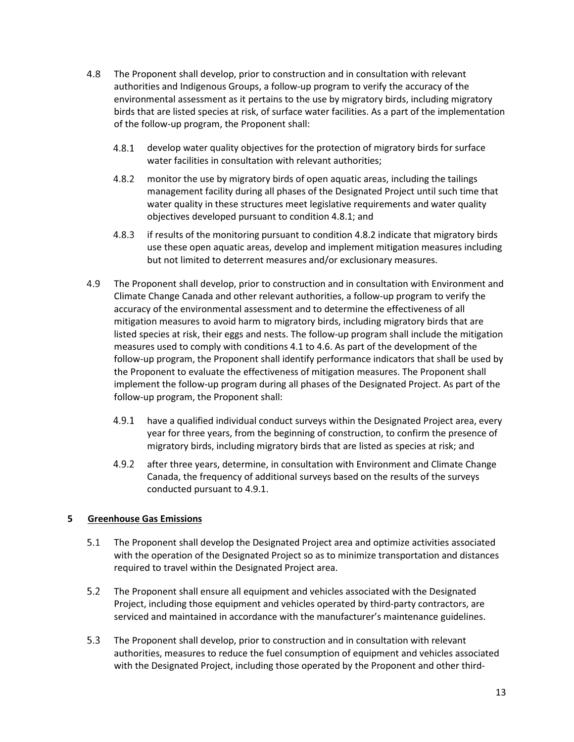- 4.8 The Proponent shall develop, prior to construction and in consultation with relevant authorities and Indigenous Groups, a follow-up program to verify the accuracy of the environmental assessment as it pertains to the use by migratory birds, including migratory birds that are listed species at risk, of surface water facilities. As a part of the implementation of the follow-up program, the Proponent shall:
	- $4.8.1$ develop water quality objectives for the protection of migratory birds for surface water facilities in consultation with relevant authorities;
	- $4.8.2$ monitor the use by migratory birds of open aquatic areas, including the tailings management facility during all phases of the Designated Project until such time that water quality in these structures meet legislative requirements and water quality objectives developed pursuant to condition 4.8.1; and
	- $4.8.3$ if results of the monitoring pursuant to condition 4.8.2 indicate that migratory birds use these open aquatic areas, develop and implement mitigation measures including but not limited to deterrent measures and/or exclusionary measures.
- 4.9 The Proponent shall develop, prior to construction and in consultation with Environment and Climate Change Canada and other relevant authorities, a follow-up program to verify the accuracy of the environmental assessment and to determine the effectiveness of all mitigation measures to avoid harm to migratory birds, including migratory birds that are listed species at risk, their eggs and nests. The follow-up program shall include the mitigation measures used to comply with conditions 4.1 to 4.6. As part of the development of the follow-up program, the Proponent shall identify performance indicators that shall be used by the Proponent to evaluate the effectiveness of mitigation measures. The Proponent shall implement the follow-up program during all phases of the Designated Project. As part of the follow-up program, the Proponent shall:
	- $4.9.1$ have a qualified individual conduct surveys within the Designated Project area, every year for three years, from the beginning of construction, to confirm the presence of migratory birds, including migratory birds that are listed as species at risk; and
	- $4.9.2$ after three years, determine, in consultation with Environment and Climate Change Canada, the frequency of additional surveys based on the results of the surveys conducted pursuant to 4.9.1.

## **5 Greenhouse Gas Emissions**

- $5.1$ The Proponent shall develop the Designated Project area and optimize activities associated with the operation of the Designated Project so as to minimize transportation and distances required to travel within the Designated Project area.
- $5.2$ The Proponent shall ensure all equipment and vehicles associated with the Designated Project, including those equipment and vehicles operated by third-party contractors, are serviced and maintained in accordance with the manufacturer's maintenance guidelines.
- $5.3$ The Proponent shall develop, prior to construction and in consultation with relevant authorities, measures to reduce the fuel consumption of equipment and vehicles associated with the Designated Project, including those operated by the Proponent and other third-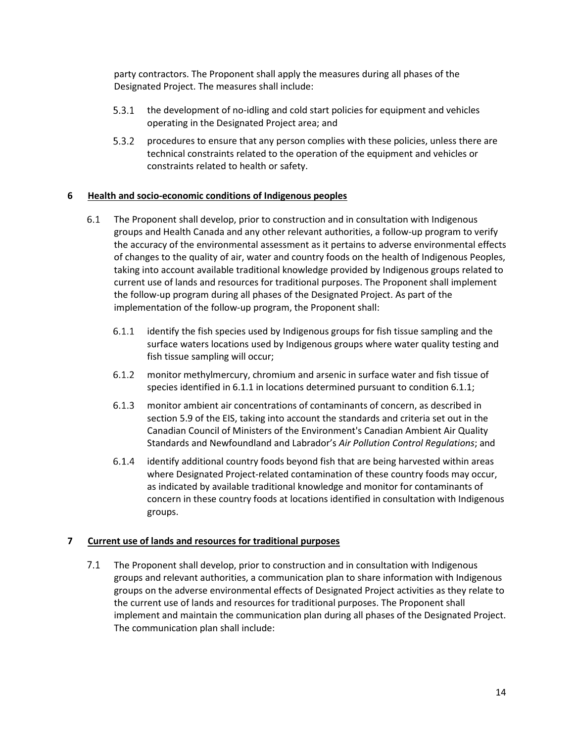party contractors. The Proponent shall apply the measures during all phases of the Designated Project. The measures shall include:

- 5.3.1 the development of no-idling and cold start policies for equipment and vehicles operating in the Designated Project area; and
- $5.3.2$ procedures to ensure that any person complies with these policies, unless there are technical constraints related to the operation of the equipment and vehicles or constraints related to health or safety.

### **6 Health and socio-economic conditions of Indigenous peoples**

- $6.1$ The Proponent shall develop, prior to construction and in consultation with Indigenous groups and Health Canada and any other relevant authorities, a follow-up program to verify the accuracy of the environmental assessment as it pertains to adverse environmental effects of changes to the quality of air, water and country foods on the health of Indigenous Peoples, taking into account available traditional knowledge provided by Indigenous groups related to current use of lands and resources for traditional purposes. The Proponent shall implement the follow-up program during all phases of the Designated Project. As part of the implementation of the follow-up program, the Proponent shall:
	- $6.1.1$ identify the fish species used by Indigenous groups for fish tissue sampling and the surface waters locations used by Indigenous groups where water quality testing and fish tissue sampling will occur;
	- $6.1.2$ monitor methylmercury, chromium and arsenic in surface water and fish tissue of species identified in 6.1.1 in locations determined pursuant to condition 6.1.1;
	- $6.1.3$ monitor ambient air concentrations of contaminants of concern, as described in section 5.9 of the EIS, taking into account the standards and criteria set out in the Canadian Council of Ministers of the Environment's Canadian Ambient Air Quality Standards and Newfoundland and Labrador's *Air Pollution Control Regulations*; and
	- identify additional country foods beyond fish that are being harvested within areas where Designated Project-related contamination of these country foods may occur, as indicated by available traditional knowledge and monitor for contaminants of concern in these country foods at locations identified in consultation with Indigenous groups.

## **7 Current use of lands and resources for traditional purposes**

 $7.1$ The Proponent shall develop, prior to construction and in consultation with Indigenous groups and relevant authorities, a communication plan to share information with Indigenous groups on the adverse environmental effects of Designated Project activities as they relate to the current use of lands and resources for traditional purposes. The Proponent shall implement and maintain the communication plan during all phases of the Designated Project. The communication plan shall include: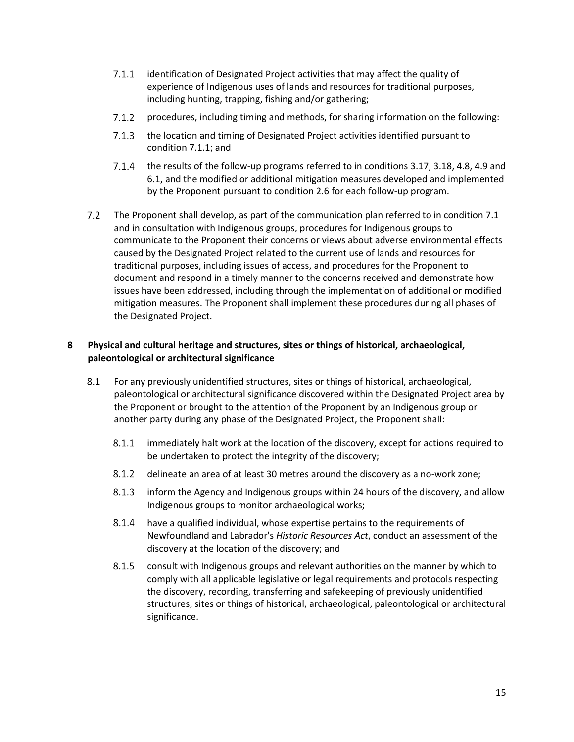- $7.1.1$ identification of Designated Project activities that may affect the quality of experience of Indigenous uses of lands and resources for traditional purposes, including hunting, trapping, fishing and/or gathering;
- $7.1.2$ procedures, including timing and methods, for sharing information on the following:
- 7.1.3 the location and timing of Designated Project activities identified pursuant to condition 7.1.1; and
- 7.1.4 the results of the follow-up programs referred to in conditions 3.17, 3.18, 4.8, 4.9 and 6.1, and the modified or additional mitigation measures developed and implemented by the Proponent pursuant to condition 2.6 for each follow-up program.
- $7.2$ The Proponent shall develop, as part of the communication plan referred to in condition 7.1 and in consultation with Indigenous groups, procedures for Indigenous groups to communicate to the Proponent their concerns or views about adverse environmental effects caused by the Designated Project related to the current use of lands and resources for traditional purposes, including issues of access, and procedures for the Proponent to document and respond in a timely manner to the concerns received and demonstrate how issues have been addressed, including through the implementation of additional or modified mitigation measures. The Proponent shall implement these procedures during all phases of the Designated Project.

# **8 Physical and cultural heritage and structures, sites or things of historical, archaeological, paleontological or architectural significance**

- 8.1 For any previously unidentified structures, sites or things of historical, archaeological, paleontological or architectural significance discovered within the Designated Project area by the Proponent or brought to the attention of the Proponent by an Indigenous group or another party during any phase of the Designated Project, the Proponent shall:
	- $8.1.1$ immediately halt work at the location of the discovery, except for actions required to be undertaken to protect the integrity of the discovery;
	- $8.1.2$ delineate an area of at least 30 metres around the discovery as a no-work zone;
	- 8.1.3 inform the Agency and Indigenous groups within 24 hours of the discovery, and allow Indigenous groups to monitor archaeological works;
	- 8.1.4 have a qualified individual, whose expertise pertains to the requirements of Newfoundland and Labrador's *Historic Resources Act*, conduct an assessment of the discovery at the location of the discovery; and
	- 8.1.5 consult with Indigenous groups and relevant authorities on the manner by which to comply with all applicable legislative or legal requirements and protocols respecting the discovery, recording, transferring and safekeeping of previously unidentified structures, sites or things of historical, archaeological, paleontological or architectural significance.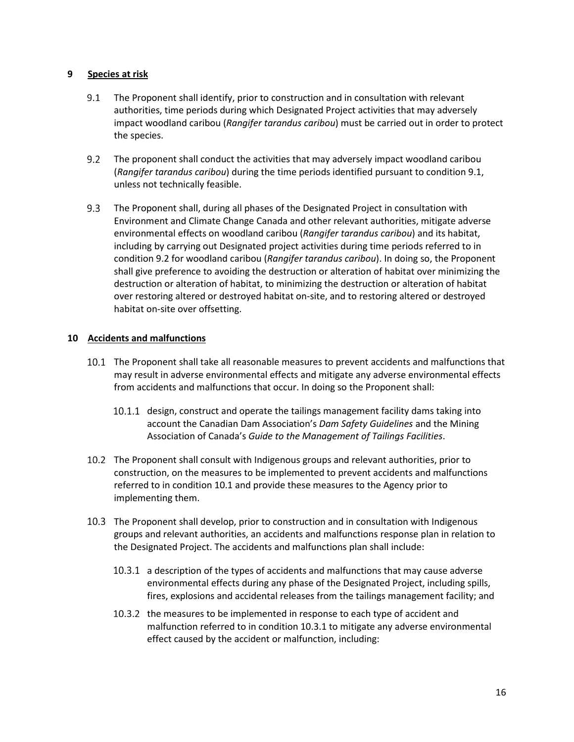#### **9 Species at risk**

- $9.1$ The Proponent shall identify, prior to construction and in consultation with relevant authorities, time periods during which Designated Project activities that may adversely impact woodland caribou (*Rangifer tarandus caribou*) must be carried out in order to protect the species.
- $9.2$ The proponent shall conduct the activities that may adversely impact woodland caribou (*Rangifer tarandus caribou*) during the time periods identified pursuant to condition 9.1, unless not technically feasible.
- $9.3$ The Proponent shall, during all phases of the Designated Project in consultation with Environment and Climate Change Canada and other relevant authorities, mitigate adverse environmental effects on woodland caribou (*Rangifer tarandus caribou*) and its habitat, including by carrying out Designated project activities during time periods referred to in condition 9.2 for woodland caribou (*Rangifer tarandus caribou*). In doing so, the Proponent shall give preference to avoiding the destruction or alteration of habitat over minimizing the destruction or alteration of habitat, to minimizing the destruction or alteration of habitat over restoring altered or destroyed habitat on-site, and to restoring altered or destroyed habitat on-site over offsetting.

## **10 Accidents and malfunctions**

- The Proponent shall take all reasonable measures to prevent accidents and malfunctions that may result in adverse environmental effects and mitigate any adverse environmental effects from accidents and malfunctions that occur. In doing so the Proponent shall:
	- 10.1.1 design, construct and operate the tailings management facility dams taking into account the Canadian Dam Association's *Dam Safety Guidelines* and the Mining Association of Canada's *Guide to the Management of Tailings Facilities*.
- The Proponent shall consult with Indigenous groups and relevant authorities, prior to construction, on the measures to be implemented to prevent accidents and malfunctions referred to in condition 10.1 and provide these measures to the Agency prior to implementing them.
- The Proponent shall develop, prior to construction and in consultation with Indigenous groups and relevant authorities, an accidents and malfunctions response plan in relation to the Designated Project. The accidents and malfunctions plan shall include:
	- 10.3.1 a description of the types of accidents and malfunctions that may cause adverse environmental effects during any phase of the Designated Project, including spills, fires, explosions and accidental releases from the tailings management facility; and
	- 10.3.2 the measures to be implemented in response to each type of accident and malfunction referred to in condition 10.3.1 to mitigate any adverse environmental effect caused by the accident or malfunction, including: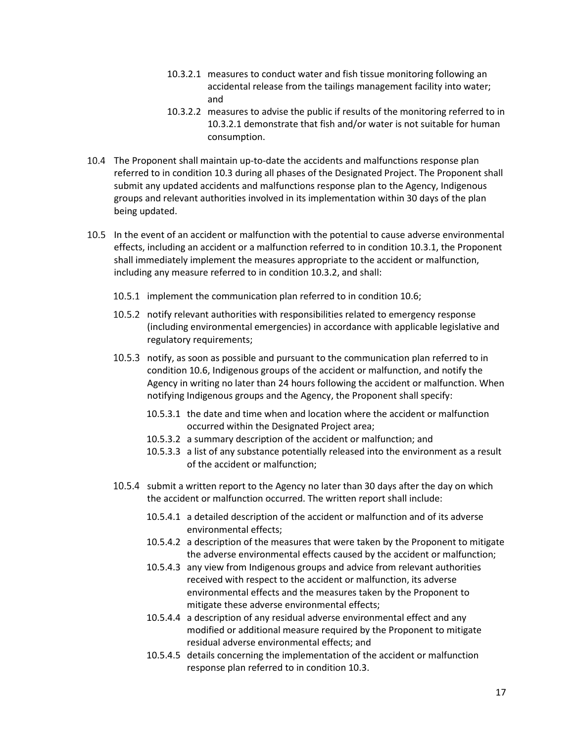- 10.3.2.1 measures to conduct water and fish tissue monitoring following an accidental release from the tailings management facility into water; and
- 10.3.2.2 measures to advise the public if results of the monitoring referred to in 10.3.2.1 demonstrate that fish and/or water is not suitable for human consumption.
- The Proponent shall maintain up-to-date the accidents and malfunctions response plan referred to in condition 10.3 during all phases of the Designated Project. The Proponent shall submit any updated accidents and malfunctions response plan to the Agency, Indigenous groups and relevant authorities involved in its implementation within 30 days of the plan being updated.
- In the event of an accident or malfunction with the potential to cause adverse environmental effects, including an accident or a malfunction referred to in condition 10.3.1, the Proponent shall immediately implement the measures appropriate to the accident or malfunction, including any measure referred to in condition 10.3.2, and shall:
	- 10.5.1 implement the communication plan referred to in condition 10.6;
	- 10.5.2 notify relevant authorities with responsibilities related to emergency response (including environmental emergencies) in accordance with applicable legislative and regulatory requirements;
	- 10.5.3 notify, as soon as possible and pursuant to the communication plan referred to in condition 10.6, Indigenous groups of the accident or malfunction, and notify the Agency in writing no later than 24 hours following the accident or malfunction. When notifying Indigenous groups and the Agency, the Proponent shall specify:
		- 10.5.3.1 the date and time when and location where the accident or malfunction occurred within the Designated Project area;
		- 10.5.3.2 a summary description of the accident or malfunction; and
		- 10.5.3.3 a list of any substance potentially released into the environment as a result of the accident or malfunction;
	- 10.5.4 submit a written report to the Agency no later than 30 days after the day on which the accident or malfunction occurred. The written report shall include:
		- 10.5.4.1 a detailed description of the accident or malfunction and of its adverse environmental effects;
		- 10.5.4.2 a description of the measures that were taken by the Proponent to mitigate the adverse environmental effects caused by the accident or malfunction;
		- 10.5.4.3 any view from Indigenous groups and advice from relevant authorities received with respect to the accident or malfunction, its adverse environmental effects and the measures taken by the Proponent to mitigate these adverse environmental effects;
		- 10.5.4.4 a description of any residual adverse environmental effect and any modified or additional measure required by the Proponent to mitigate residual adverse environmental effects; and
		- 10.5.4.5 details concerning the implementation of the accident or malfunction response plan referred to in condition 10.3.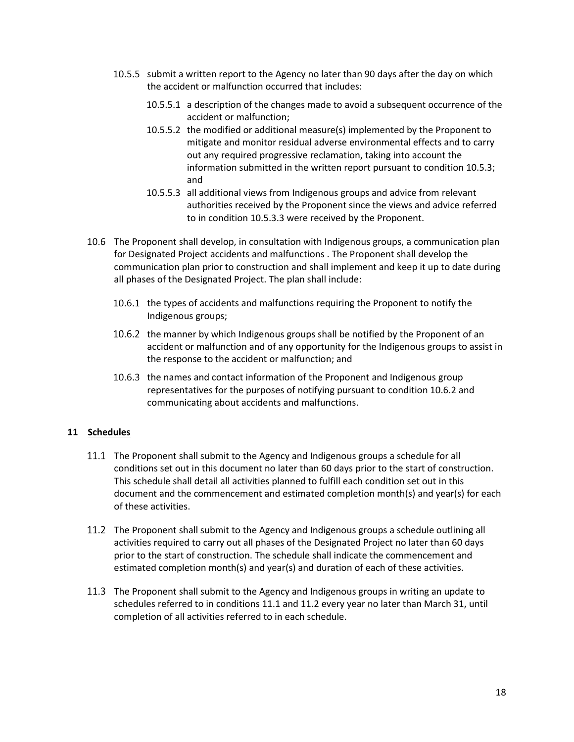- 10.5.5 submit a written report to the Agency no later than 90 days after the day on which the accident or malfunction occurred that includes:
	- 10.5.5.1 a description of the changes made to avoid a subsequent occurrence of the accident or malfunction;
	- 10.5.5.2 the modified or additional measure(s) implemented by the Proponent to mitigate and monitor residual adverse environmental effects and to carry out any required progressive reclamation, taking into account the information submitted in the written report pursuant to condition 10.5.3; and
	- 10.5.5.3 all additional views from Indigenous groups and advice from relevant authorities received by the Proponent since the views and advice referred to in condition 10.5.3.3 were received by the Proponent.
- 10.6 The Proponent shall develop, in consultation with Indigenous groups, a communication plan for Designated Project accidents and malfunctions . The Proponent shall develop the communication plan prior to construction and shall implement and keep it up to date during all phases of the Designated Project. The plan shall include:
	- 10.6.1 the types of accidents and malfunctions requiring the Proponent to notify the Indigenous groups;
	- 10.6.2 the manner by which Indigenous groups shall be notified by the Proponent of an accident or malfunction and of any opportunity for the Indigenous groups to assist in the response to the accident or malfunction; and
	- 10.6.3 the names and contact information of the Proponent and Indigenous group representatives for the purposes of notifying pursuant to condition 10.6.2 and communicating about accidents and malfunctions.

#### **11 Schedules**

- The Proponent shall submit to the Agency and Indigenous groups a schedule for all conditions set out in this document no later than 60 days prior to the start of construction. This schedule shall detail all activities planned to fulfill each condition set out in this document and the commencement and estimated completion month(s) and year(s) for each of these activities.
- The Proponent shall submit to the Agency and Indigenous groups a schedule outlining all activities required to carry out all phases of the Designated Project no later than 60 days prior to the start of construction. The schedule shall indicate the commencement and estimated completion month(s) and year(s) and duration of each of these activities.
- The Proponent shall submit to the Agency and Indigenous groups in writing an update to schedules referred to in conditions 11.1 and 11.2 every year no later than March 31, until completion of all activities referred to in each schedule.